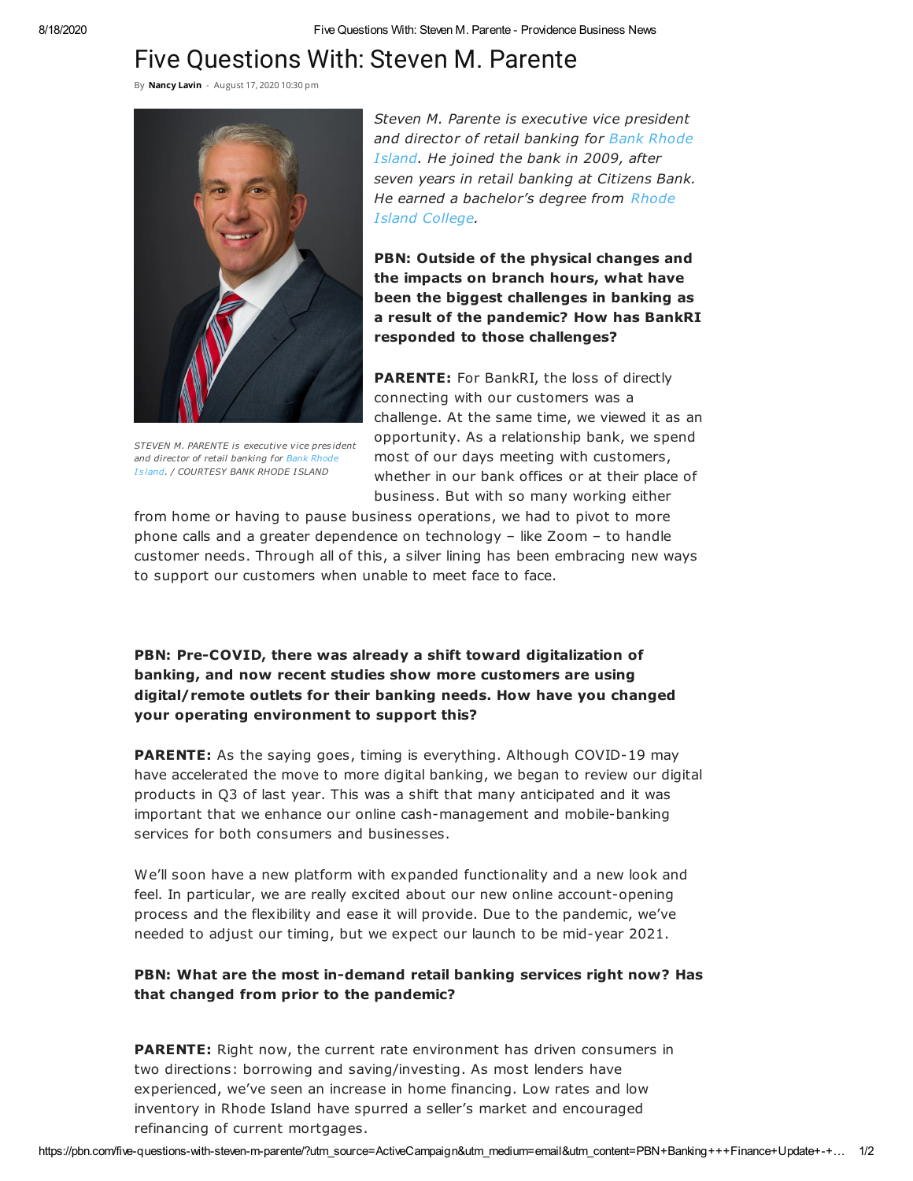## Five Questions With: Steven M. Parente

By [Nancy](https://pbn.com/author/nancy-lavin/) Lavin - August 17, 2020 10:30 pm



STEVEN M. PARENTE is executive vice pres ident and director of retail banking for Bank Rhode I s land. / COURTESY BANK RHODE ISLAND

Steven M. Parente is executive vice president and director of retail banking for Bank Rhode Island. He joined the bank in 2009, after seven years in retail banking at Citizens Bank. He earned a bachelor's degree from Rhode Island College.

PBN: Outside of the physical changes and the impacts on branch hours, what have been the biggest challenges in banking as a result of the pandemic? How has BankRI responded to those challenges?

PARENTE: For BankRI, the loss of directly connecting with our customers was a challenge. At the same time, we viewed it as an opportunity. As a relationship bank, we spend most of our days meeting with customers, whether in our bank offices or at their place of business. But with so many working either

from home or having to pause business operations, we had to pivot to more phone calls and a greater dependence on technology – like Zoom – to handle customer needs. Through all of this, a silver lining has been embracing new ways to support our customers when unable to meet face to face.

PBN: Pre-COVID, there was already a shift toward digitalization of banking, and now recent studies show more customers are using digital/remote outlets for their banking needs. How have you changed your operating environment to support this?

**PARENTE:** As the saying goes, timing is everything. Although COVID-19 may have accelerated the move to more digital banking, we began to review our digital products in Q3 of last year. This was a shift that many anticipated and it was important that we enhance our online cash-management and mobile-banking services for both consumers and businesses.

We'll soon have a new platform with expanded functionality and a new look and feel. In particular, we are really excited about our new online account-opening process and the flexibility and ease it will provide. Due to the pandemic, we've needed to adjust our timing, but we expect our launch to be mid-year 2021.

## PBN: What are the most in-demand retail banking services right now? Has that changed from prior to the pandemic?

PARENTE: Right now, the current rate environment has driven consumers in two directions: borrowing and saving/investing. As most lenders have experienced, we've seen an increase in home financing. Low rates and low inventory in Rhode Island have spurred a seller's market and encouraged refinancing of current mortgages.